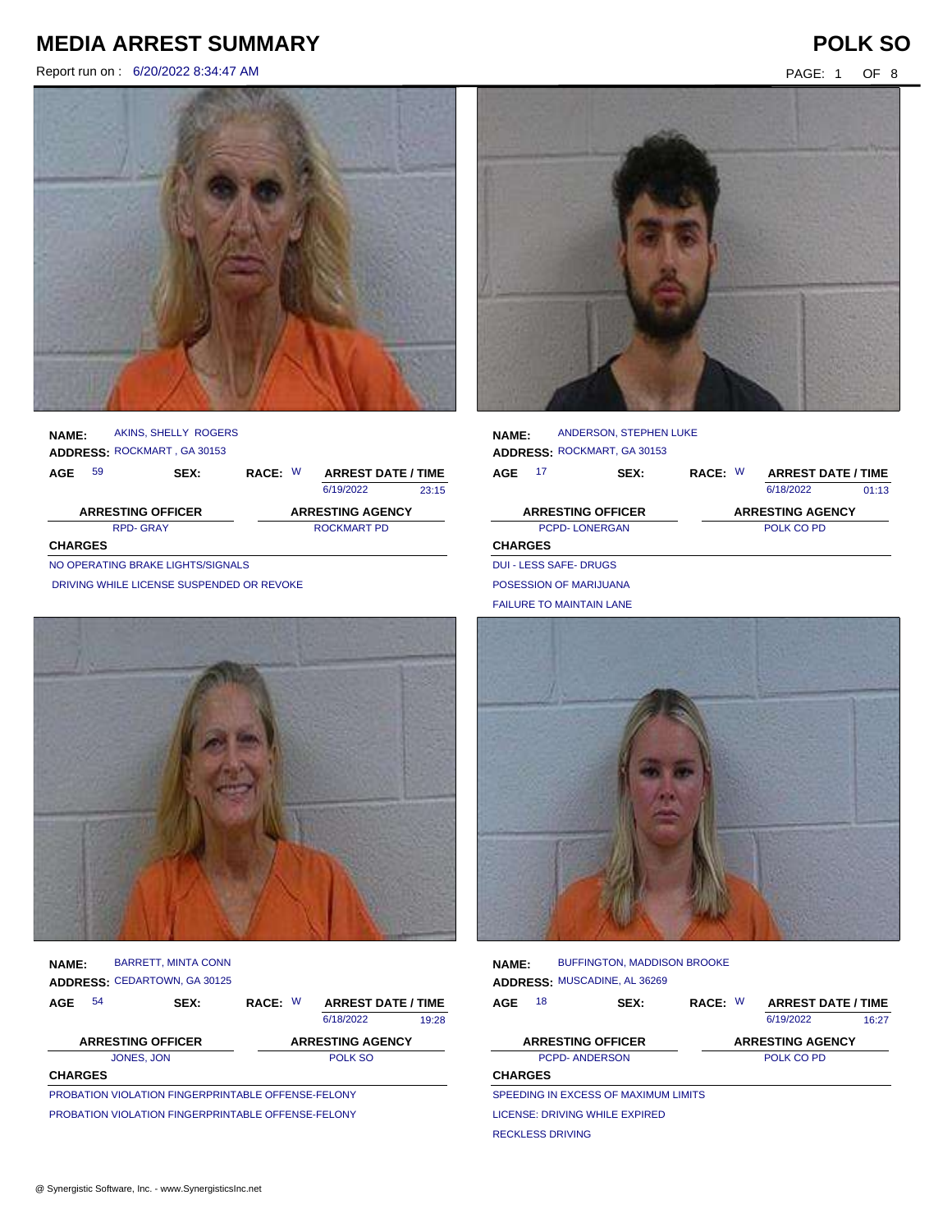Report run on : 6/20/2022 8:34:47 AM PAGE: 1 OF 8





|              |     |                             |         | 6/19/2022 | 23:15                     |
|--------------|-----|-----------------------------|---------|-----------|---------------------------|
| <b>AGE</b>   | -59 | SEX:                        | RACE: W |           | <b>ARREST DATE / TIME</b> |
|              |     | ADDRESS: ROCKMART, GA 30153 |         |           |                           |
| <b>NAME:</b> |     | AKINS, SHELLY ROGERS        |         |           |                           |

| <b>ARRESTING OFFICER</b> | <b>ARRESTING AGENCY</b> |
|--------------------------|-------------------------|
| <b>RPD-GRAY</b>          | ROCKMART PD             |
| <b>CHARGES</b>           |                         |

NO OPERATING BRAKE LIGHTS/SIGNALS

DRIVING WHILE LICENSE SUSPENDED OR REVOKE



| NAME:          | <b>BARRETT, MINTA CONN</b><br><b>ADDRESS: CEDARTOWN, GA 30125</b> |         |                           |       |
|----------------|-------------------------------------------------------------------|---------|---------------------------|-------|
| 54<br>AGE      | SEX:                                                              | RACE: W | <b>ARREST DATE / TIME</b> |       |
|                |                                                                   |         | 6/18/2022                 | 19:28 |
|                | <b>ARRESTING OFFICER</b>                                          |         | <b>ARRESTING AGENCY</b>   |       |
|                | JONES, JON                                                        |         | POLK SO                   |       |
| <b>CHARGES</b> |                                                                   |         |                           |       |

PROBATION VIOLATION FINGERPRINTABLE OFFENSE-FELONY PROBATION VIOLATION FINGERPRINTABLE OFFENSE-FELONY



| <b>NAME:</b>   |                               | ANDERSON, STEPHEN LUKE<br>ADDRESS: ROCKMART, GA 30153 |         |                           |       |
|----------------|-------------------------------|-------------------------------------------------------|---------|---------------------------|-------|
| AGE            | 17                            | SEX:                                                  | RACE: W | <b>ARREST DATE / TIME</b> |       |
|                |                               |                                                       |         | 6/18/2022                 | 01:13 |
|                |                               | <b>ARRESTING OFFICER</b>                              |         | <b>ARRESTING AGENCY</b>   |       |
|                | <b>PCPD-LONERGAN</b>          |                                                       |         | POLK CO PD                |       |
| <b>CHARGES</b> |                               |                                                       |         |                           |       |
|                | <b>DUI - LESS SAFE- DRUGS</b> |                                                       |         |                           |       |
|                | POSESSION OF MARIJUANA        |                                                       |         |                           |       |

FAILURE TO MAINTAIN LANE



| <b>NAME:</b>   |    | <b>BUFFINGTON, MADDISON BROOKE</b><br>ADDRESS: MUSCADINE, AL 36269 |         |                           |       |
|----------------|----|--------------------------------------------------------------------|---------|---------------------------|-------|
| AGE            | 18 | SEX:                                                               | RACE: W | <b>ARREST DATE / TIME</b> |       |
|                |    |                                                                    |         | 6/19/2022                 | 16:27 |
|                |    | <b>ARRESTING OFFICER</b>                                           |         | <b>ARRESTING AGENCY</b>   |       |
|                |    | <b>PCPD-ANDERSON</b>                                               |         | POLK CO PD                |       |
| <b>CHARGES</b> |    |                                                                    |         |                           |       |
|                |    | SPEEDING IN EXCESS OF MAXIMUM LIMITS                               |         |                           |       |
|                |    | <b>LICENSE: DRIVING WHILE EXPIRED</b>                              |         |                           |       |

RECKLESS DRIVING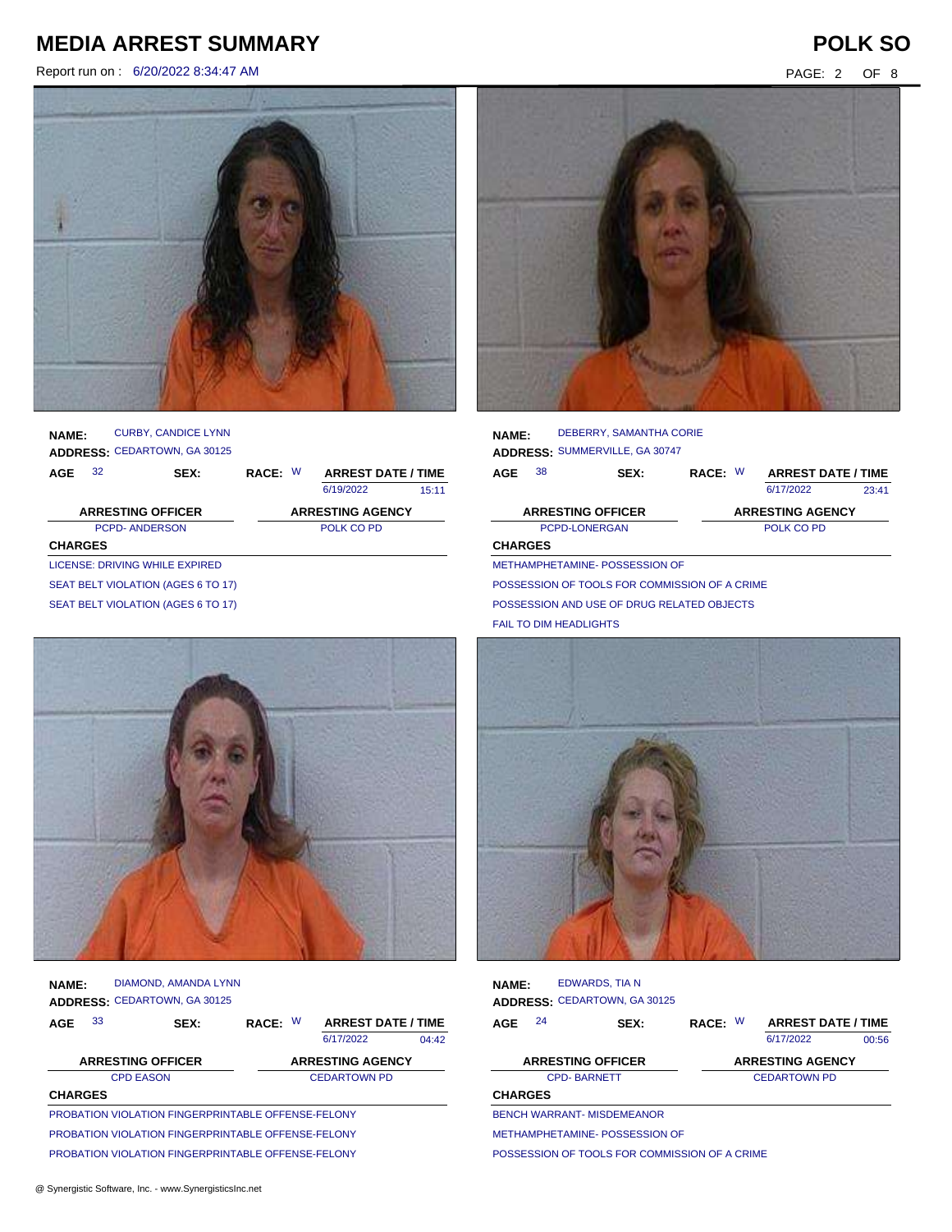Report run on : 6/20/2022 8:34:47 AM PAGE: 2 OF 8



**AGE NAME: ADDRESS:** CEDARTOWN, GA 30125 RACE: W CURBY, CANDICE LYNN 6/19/2022 PCPD- ANDERSON POLK CO PD **CHARGES** 15:11 **ARRESTING OFFICER ARRESTING AGENCY** 32 **SEX: RACE: ARREST DATE / TIME** LICENSE: DRIVING WHILE EXPIRED SEAT BELT VIOLATION (AGES 6 TO 17) SEAT BELT VIOLATION (AGES 6 TO 17)



| <b>NAME:</b>   |    | DIAMOND, AMANDA LYNN                               |         |                           |       |
|----------------|----|----------------------------------------------------|---------|---------------------------|-------|
|                |    | ADDRESS: CEDARTOWN, GA 30125                       |         |                           |       |
| AGE            | 33 | SEX:                                               | RACE: W | <b>ARREST DATE / TIME</b> |       |
|                |    |                                                    |         | 6/17/2022                 | 04.42 |
|                |    | <b>ARRESTING OFFICER</b>                           |         | <b>ARRESTING AGENCY</b>   |       |
|                |    | <b>CPD EASON</b>                                   |         | <b>CEDARTOWN PD</b>       |       |
| <b>CHARGES</b> |    |                                                    |         |                           |       |
|                |    | PROBATION VIOLATION FINGERPRINTABLE OFFENSE-FELONY |         |                           |       |
|                |    | PROBATION VIOLATION FINGERPRINTABLE OFFENSE-FELONY |         |                           |       |
|                |    |                                                    |         |                           |       |

PROBATION VIOLATION FINGERPRINTABLE OFFENSE-FELONY



**AGE NAME: ADDRESS:** SUMMERVILLE, GA 30747 W 38 **SEX: RACE: ARREST DATE / TIME** DEBERRY, SAMANTHA CORIE 6/17/2022 PCPD-LONERGAN POLK CO PD **CHARGES** 23:41 **ARRESTING OFFICER ARRESTING AGENCY** METHAMPHETAMINE- POSSESSION OF POSSESSION OF TOOLS FOR COMMISSION OF A CRIME

POSSESSION AND USE OF DRUG RELATED OBJECTS

FAIL TO DIM HEADLIGHTS



| <b>NAME:</b>   | EDWARDS, TIA N<br><b>ADDRESS: CEDARTOWN, GA 30125</b> |      |         |                           |       |
|----------------|-------------------------------------------------------|------|---------|---------------------------|-------|
| AGE            | 24                                                    | SEX: | RACE: W | <b>ARREST DATE / TIME</b> |       |
|                |                                                       |      |         | 6/17/2022                 | 00:56 |
|                | <b>ARRESTING OFFICER</b>                              |      |         | <b>ARRESTING AGENCY</b>   |       |
|                | <b>CPD-BARNETT</b>                                    |      |         | <b>CEDARTOWN PD</b>       |       |
| <b>CHARGES</b> |                                                       |      |         |                           |       |
|                | <b>BENCH WARRANT- MISDEMEANOR</b>                     |      |         |                           |       |
|                | METHAMPHETAMINE- POSSESSION OF                        |      |         |                           |       |

POSSESSION OF TOOLS FOR COMMISSION OF A CRIME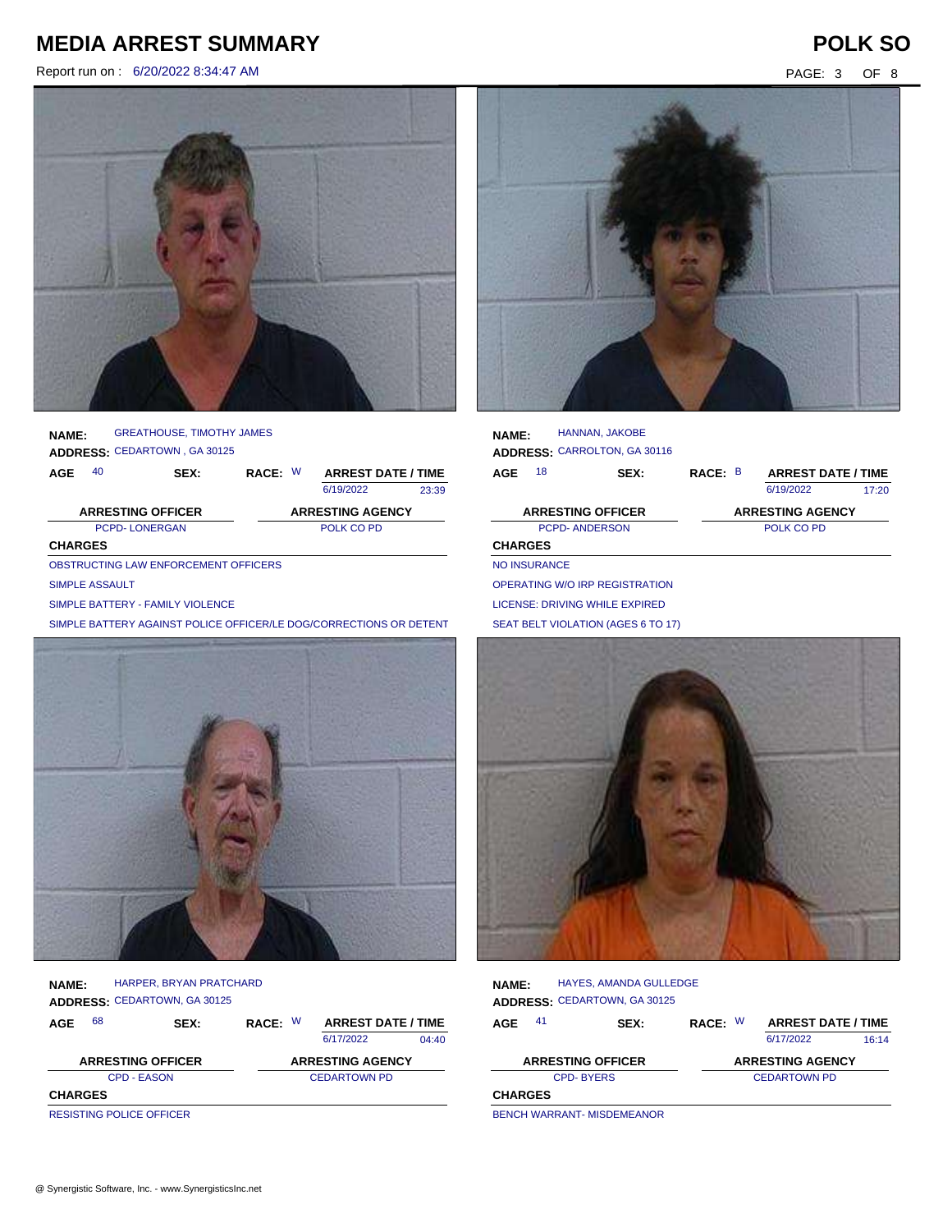Report run on : 6/20/2022 8:34:47 AM PAGE: 3 OF 8



**AGE NAME: ADDRESS:** CEDARTOWN , GA 30125 GREATHOUSE, TIMOTHY JAMES

| AGE            | 40 | <b>SEX:</b>              | RACE: W | <b>ARREST DATE / TIME</b> |       |
|----------------|----|--------------------------|---------|---------------------------|-------|
|                |    |                          |         | 6/19/2022                 | 23:39 |
|                |    | <b>ARRESTING OFFICER</b> |         | <b>ARRESTING AGENCY</b>   |       |
|                |    | <b>PCPD-LONERGAN</b>     |         | POLK CO PD                |       |
| <b>CHARGES</b> |    |                          |         |                           |       |

OBSTRUCTING LAW ENFORCEMENT OFFICERS

### SIMPLE ASSAULT

SIMPLE BATTERY - FAMILY VIOLENCE

SIMPLE BATTERY AGAINST POLICE OFFICER/LE DOG/CORRECTIONS OR DETENT



| <b>NAME:</b>   |    | <b>HARPER, BRYAN PRATCHARD</b>      |         |                           |       |
|----------------|----|-------------------------------------|---------|---------------------------|-------|
|                |    | <b>ADDRESS: CEDARTOWN, GA 30125</b> |         |                           |       |
| AGE            | 68 | SEX:                                | RACE: W | <b>ARREST DATE / TIME</b> |       |
|                |    |                                     |         | 6/17/2022                 | 04:40 |
|                |    | <b>ARRESTING OFFICER</b>            |         | <b>ARRESTING AGENCY</b>   |       |
|                |    | <b>CPD - EASON</b>                  |         | <b>CEDARTOWN PD</b>       |       |
| <b>CHARGES</b> |    |                                     |         |                           |       |
|                |    | <b>RESISTING POLICE OFFICER</b>     |         |                           |       |

| <b>NAME:</b>   |                     | HANNAN, JAKOBE<br>ADDRESS: CARROLTON, GA 30116 |         |                           |       |
|----------------|---------------------|------------------------------------------------|---------|---------------------------|-------|
| AGE            | 18                  | SEX:                                           | RACE: B | <b>ARREST DATE / TIME</b> |       |
|                |                     |                                                |         | 6/19/2022                 | 17:20 |
|                |                     | <b>ARRESTING OFFICER</b>                       |         | <b>ARRESTING AGENCY</b>   |       |
|                |                     | <b>PCPD-ANDERSON</b>                           |         | POLK CO PD                |       |
| <b>CHARGES</b> |                     |                                                |         |                           |       |
|                |                     |                                                |         |                           |       |
|                | <b>NO INSURANCE</b> |                                                |         |                           |       |

LICENSE: DRIVING WHILE EXPIRED

SEAT BELT VIOLATION (AGES 6 TO 17)



| <b>NAME:</b>   |                          | <b>HAYES, AMANDA GULLEDGE</b><br><b>ADDRESS: CEDARTOWN, GA 30125</b> |         |                           |       |
|----------------|--------------------------|----------------------------------------------------------------------|---------|---------------------------|-------|
| 41<br>AGE      |                          | SEX:                                                                 | RACE: W | <b>ARREST DATE / TIME</b> |       |
|                |                          |                                                                      |         | 6/17/2022                 | 16:14 |
|                | <b>ARRESTING OFFICER</b> |                                                                      |         | <b>ARRESTING AGENCY</b>   |       |
|                | <b>CPD-BYERS</b>         |                                                                      |         | <b>CEDARTOWN PD</b>       |       |
| <b>CHARGES</b> |                          |                                                                      |         |                           |       |
|                |                          | <b>DEMOU WARDAME MIODEMEANOD</b>                                     |         |                           |       |

BENCH WARRANT- MISDEMEANOR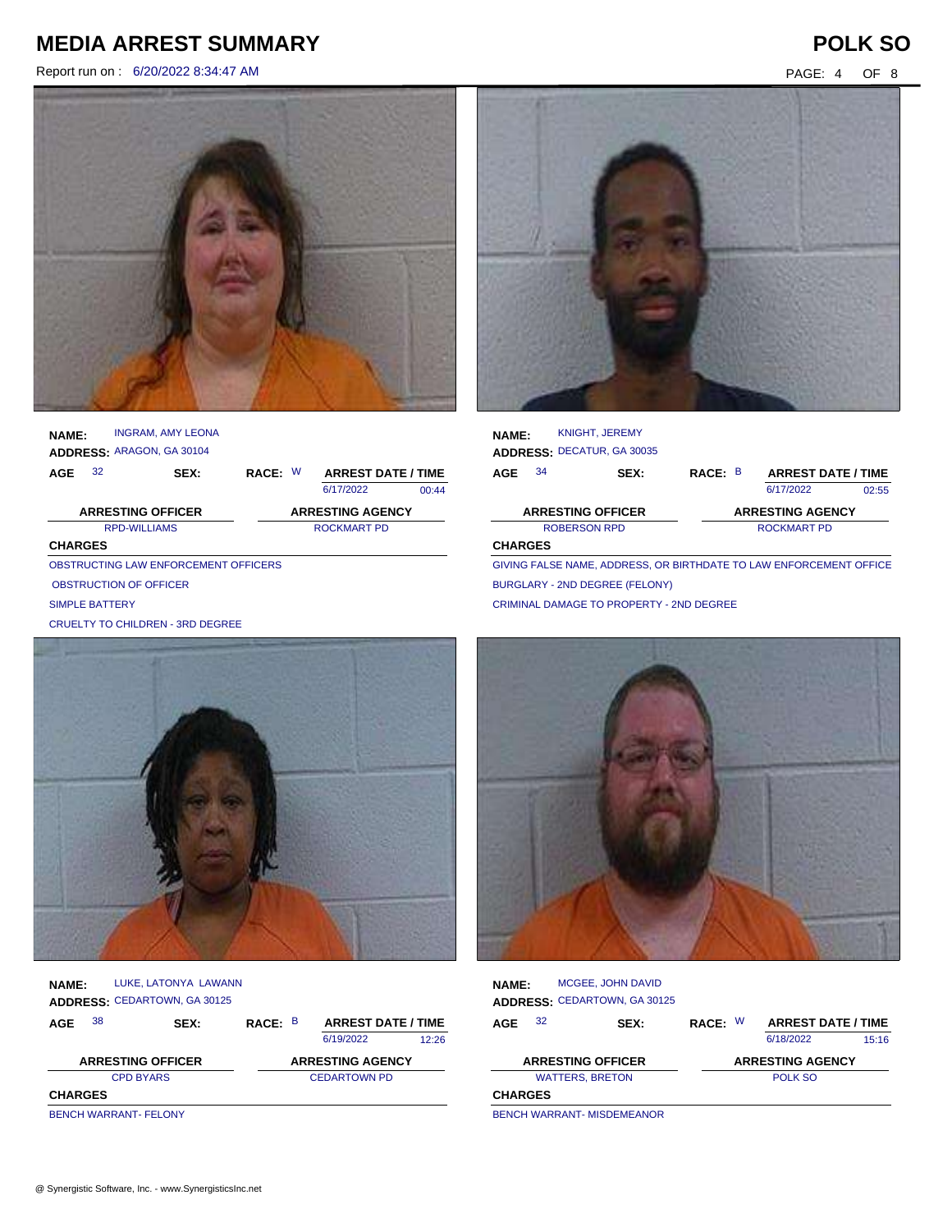Report run on : 6/20/2022 8:34:47 AM PAGE: 4 OF 8



| <b>NAME:</b>   |                          | <b>INGRAM, AMY LEONA</b><br>ADDRESS: ARAGON, GA 30104 |         |                           |       |
|----------------|--------------------------|-------------------------------------------------------|---------|---------------------------|-------|
| AGE            | 32                       | SEX:                                                  | RACE: W | <b>ARREST DATE / TIME</b> |       |
|                |                          |                                                       |         | 6/17/2022                 | 00:44 |
|                |                          |                                                       |         |                           |       |
|                | <b>ARRESTING OFFICER</b> |                                                       |         | <b>ARRESTING AGENCY</b>   |       |
|                | <b>RPD-WILLIAMS</b>      |                                                       |         | <b>ROCKMART PD</b>        |       |
| <b>CHARGES</b> |                          |                                                       |         |                           |       |
|                |                          | OBSTRUCTING LAW ENFORCEMENT OFFICERS                  |         |                           |       |

SIMPLE BATTERY

CRUELTY TO CHILDREN - 3RD DEGREE



| <b>NAME:</b>     |    | LUKE, LATONYA LAWANN                |         |                           |       |
|------------------|----|-------------------------------------|---------|---------------------------|-------|
|                  |    | <b>ADDRESS: CEDARTOWN, GA 30125</b> |         |                           |       |
| AGE              | 38 | SEX:                                | RACE: B | <b>ARREST DATE / TIME</b> |       |
|                  |    |                                     |         | 6/19/2022                 | 12:26 |
|                  |    | <b>ARRESTING OFFICER</b>            |         | <b>ARRESTING AGENCY</b>   |       |
| <b>CPD BYARS</b> |    |                                     |         | <b>CEDARTOWN PD</b>       |       |
| <b>CHARGES</b>   |    |                                     |         |                           |       |
|                  |    | <b>BENCH WARRANT- FELONY</b>        |         |                           |       |

**NAME:** KNIGHT, JEREMY

| NAME:                    |    | $\sim$                     |         |                           |       |
|--------------------------|----|----------------------------|---------|---------------------------|-------|
|                          |    | ADDRESS: DECATUR, GA 30035 |         |                           |       |
| AGE                      | 34 | SEX:                       | RACE: B | <b>ARREST DATE / TIME</b> |       |
|                          |    |                            |         | 6/17/2022                 | 02:55 |
| <b>ARRESTING OFFICER</b> |    |                            |         | <b>ARRESTING AGENCY</b>   |       |
| ROBERSON RPD             |    |                            |         | ROCKMART PD               |       |
| <b>CHARGES</b>           |    |                            |         |                           |       |

GIVING FALSE NAME, ADDRESS, OR BIRTHDATE TO LAW ENFORCEMENT OFFICER BURGLARY - 2ND DEGREE (FELONY) CRIMINAL DAMAGE TO PROPERTY - 2ND DEGREE



| <b>NAME:</b>             |    | MCGEE, JOHN DAVID<br><b>ADDRESS: CEDARTOWN, GA 30125</b> |         |                           |       |
|--------------------------|----|----------------------------------------------------------|---------|---------------------------|-------|
| AGE                      | 32 | SEX:                                                     | RACE: W | <b>ARREST DATE / TIME</b> |       |
|                          |    |                                                          |         | 6/18/2022                 | 15:16 |
| <b>ARRESTING OFFICER</b> |    |                                                          |         | <b>ARRESTING AGENCY</b>   |       |
| <b>WATTERS, BRETON</b>   |    |                                                          |         | POLK SO                   |       |
| <b>CHARGES</b>           |    |                                                          |         |                           |       |
|                          |    | <b>DENCH WARDANT MICREMEANOR</b>                         |         |                           |       |

BENCH WARRANT- MISDEMEANOR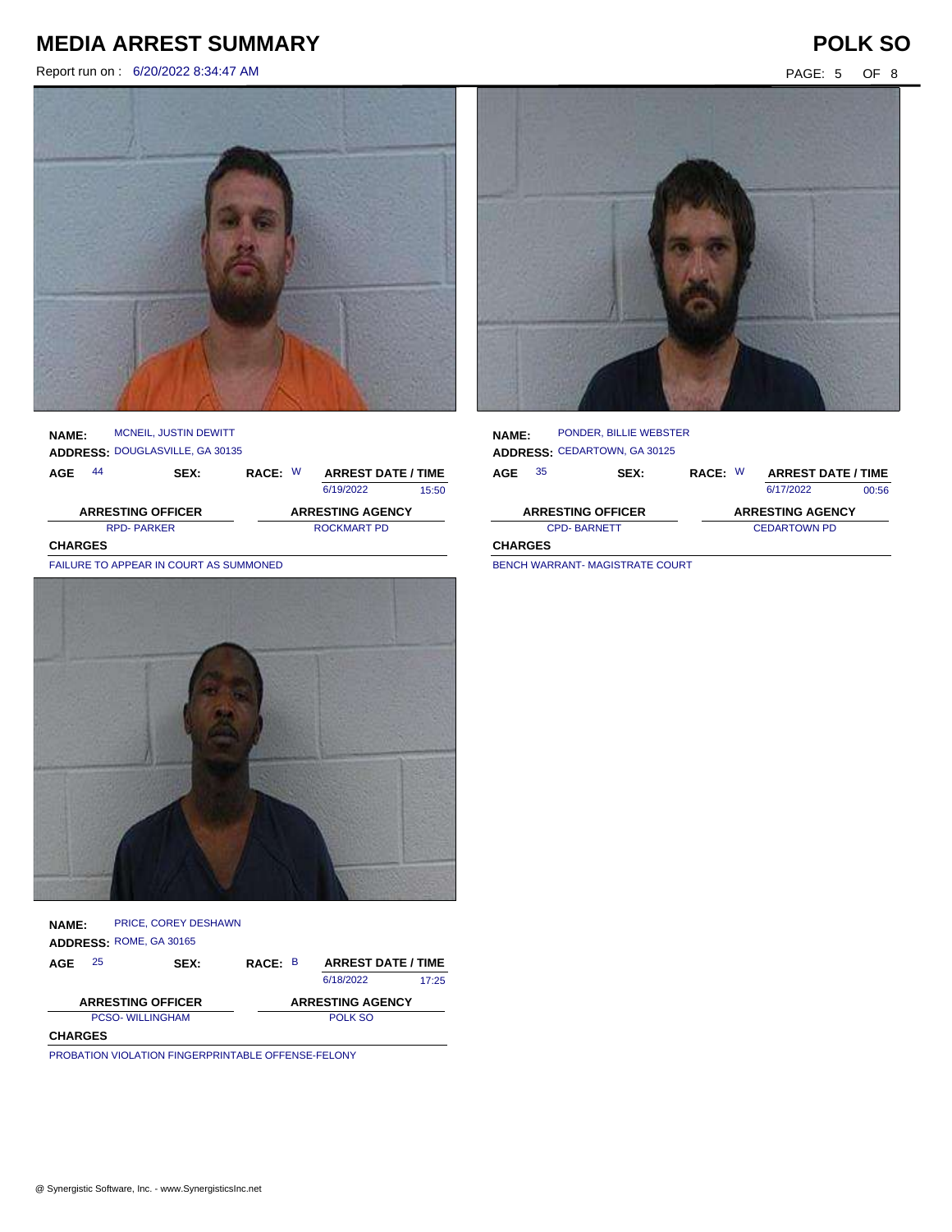Report run on : 6/20/2022 8:34:47 AM PAGE: 5 OF 8

### **NAME:** MCNEIL, JUSTIN DEWITT

**ADDRESS:** DOUGLASVILLE, GA 30135

| AGE                      | 44                | <b>SEX:</b> | RACE: W | <b>ARREST DATE / TIME</b> |       |
|--------------------------|-------------------|-------------|---------|---------------------------|-------|
|                          |                   |             |         | 6/19/2022                 | 15:50 |
| <b>ARRESTING OFFICER</b> |                   |             |         | <b>ARRESTING AGENCY</b>   |       |
|                          | <b>RPD-PARKER</b> |             |         | ROCKMART PD               |       |

**CHARGES**

FAILURE TO APPEAR IN COURT AS SUMMONED



### **NAME: ADDRESS:** ROME, GA 30165 PRICE, COREY DESHAWN

| AGE                      | 25 | <b>SEX:</b> | RACE: B | <b>ARREST DATE / TIME</b> |       |
|--------------------------|----|-------------|---------|---------------------------|-------|
|                          |    |             |         | 6/18/2022                 | 17.25 |
| <b>ARRESTING OFFICER</b> |    |             |         | <b>ARRESTING AGENCY</b>   |       |
| <b>PCSO-WILLINGHAM</b>   |    |             |         | POLK SO                   |       |
| <b>CHARGES</b>           |    |             |         |                           |       |

PROBATION VIOLATION FINGERPRINTABLE OFFENSE-FELONY



### **NAME: ADDRESS:** CEDARTOWN, GA 30125 PONDER, BILLIE WEBSTER

| 35<br>AGE                | <b>SEX:</b> | RACE: W                 | <b>ARREST DATE / TIME</b> |       |
|--------------------------|-------------|-------------------------|---------------------------|-------|
|                          |             |                         | 6/17/2022                 | 00:56 |
| <b>ARRESTING OFFICER</b> |             | <b>ARRESTING AGENCY</b> |                           |       |
| <b>CPD-BARNETT</b>       |             | <b>CEDARTOWN PD</b>     |                           |       |
| <b>CHARGES</b>           |             |                         |                           |       |

BENCH WARRANT- MAGISTRATE COURT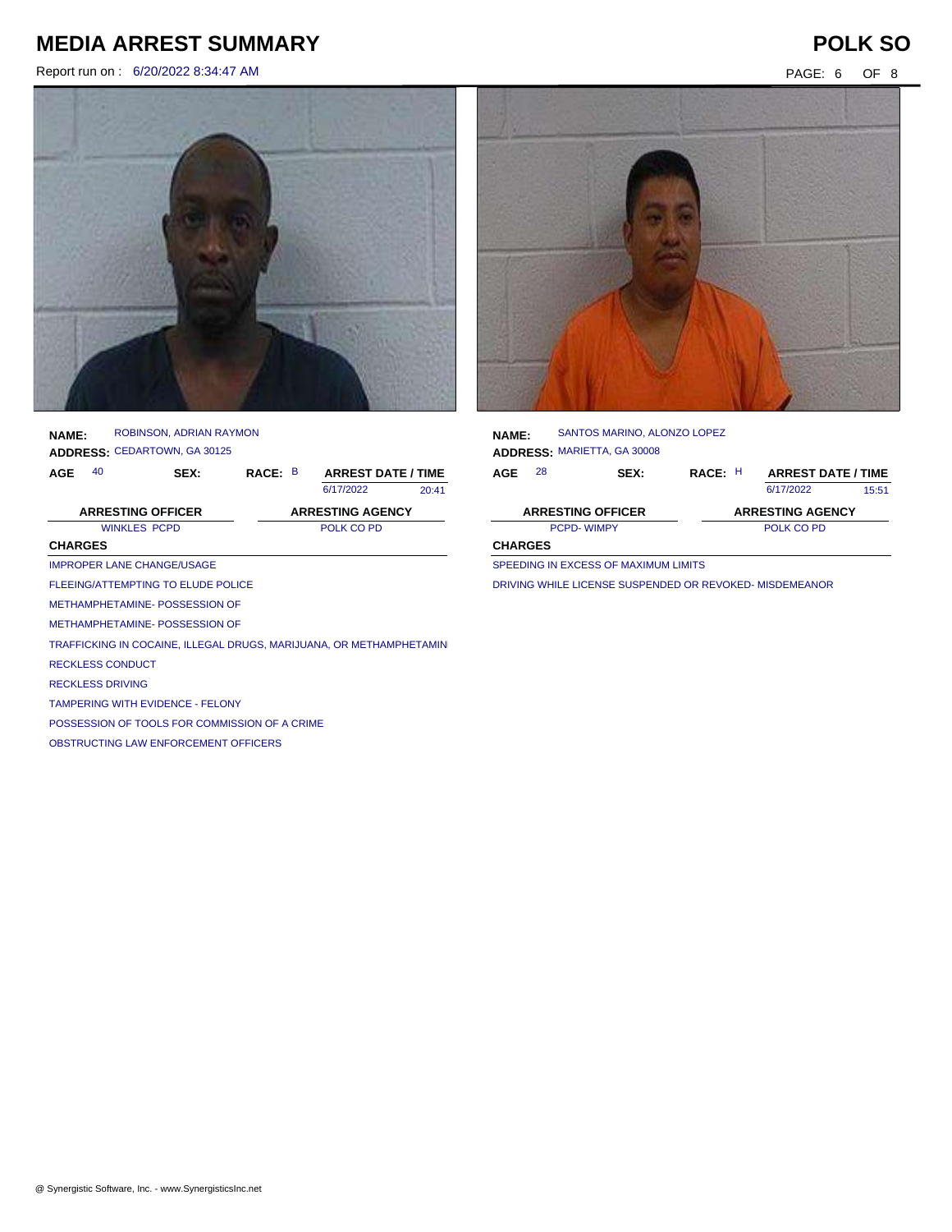Report run on : 6/20/2022 8:34:47 AM PAGE: 6 OF 8



| <b>NAME:</b> | ROBINSON, ADRIAN RAYMON      |
|--------------|------------------------------|
|              | ADDRESS: CEDARTOWN, GA 30125 |

| AGE | 40 | SEX: | RACE: B | <b>ARREST DATE / TIME</b> |       |
|-----|----|------|---------|---------------------------|-------|
|     |    |      |         | 6/17/2022                 | 20:41 |

6/17/2022

| <b>ARRESTING OFFICER</b> | <b>ARRESTING AGENCY</b> |
|--------------------------|-------------------------|
| <b>WINKLES PCPD</b>      | POLK CO PD              |
| <b>CHARGES</b>           |                         |

### IMPROPER LANE CHANGE/USAGE

FLEEING/ATTEMPTING TO ELUDE POLICE

METHAMPHETAMINE- POSSESSION OF

METHAMPHETAMINE- POSSESSION OF

TRAFFICKING IN COCAINE, ILLEGAL DRUGS, MARIJUANA, OR METHAMPHETAMIN

RECKLESS CONDUCT

RECKLESS DRIVING

TAMPERING WITH EVIDENCE - FELONY

POSSESSION OF TOOLS FOR COMMISSION OF A CRIME

OBSTRUCTING LAW ENFORCEMENT OFFICERS



| <b>NAME:</b>             |    | SANTOS MARINO, ALONZO LOPEZ        |         |                           |       |
|--------------------------|----|------------------------------------|---------|---------------------------|-------|
|                          |    | <b>ADDRESS: MARIETTA, GA 30008</b> |         |                           |       |
| AGE                      | 28 | <b>SEX:</b>                        | RACE: H | <b>ARREST DATE / TIME</b> |       |
|                          |    |                                    |         | 6/17/2022                 | 15:51 |
| <b>ARRESTING OFFICER</b> |    |                                    |         | <b>ARRESTING AGENCY</b>   |       |
| <b>PCPD-WIMPY</b>        |    |                                    |         | POLK CO PD                |       |
| <b>CHARGES</b>           |    |                                    |         |                           |       |
|                          |    |                                    |         |                           |       |

SPEEDING IN EXCESS OF MAXIMUM LIMITS

DRIVING WHILE LICENSE SUSPENDED OR REVOKED- MISDEMEANOR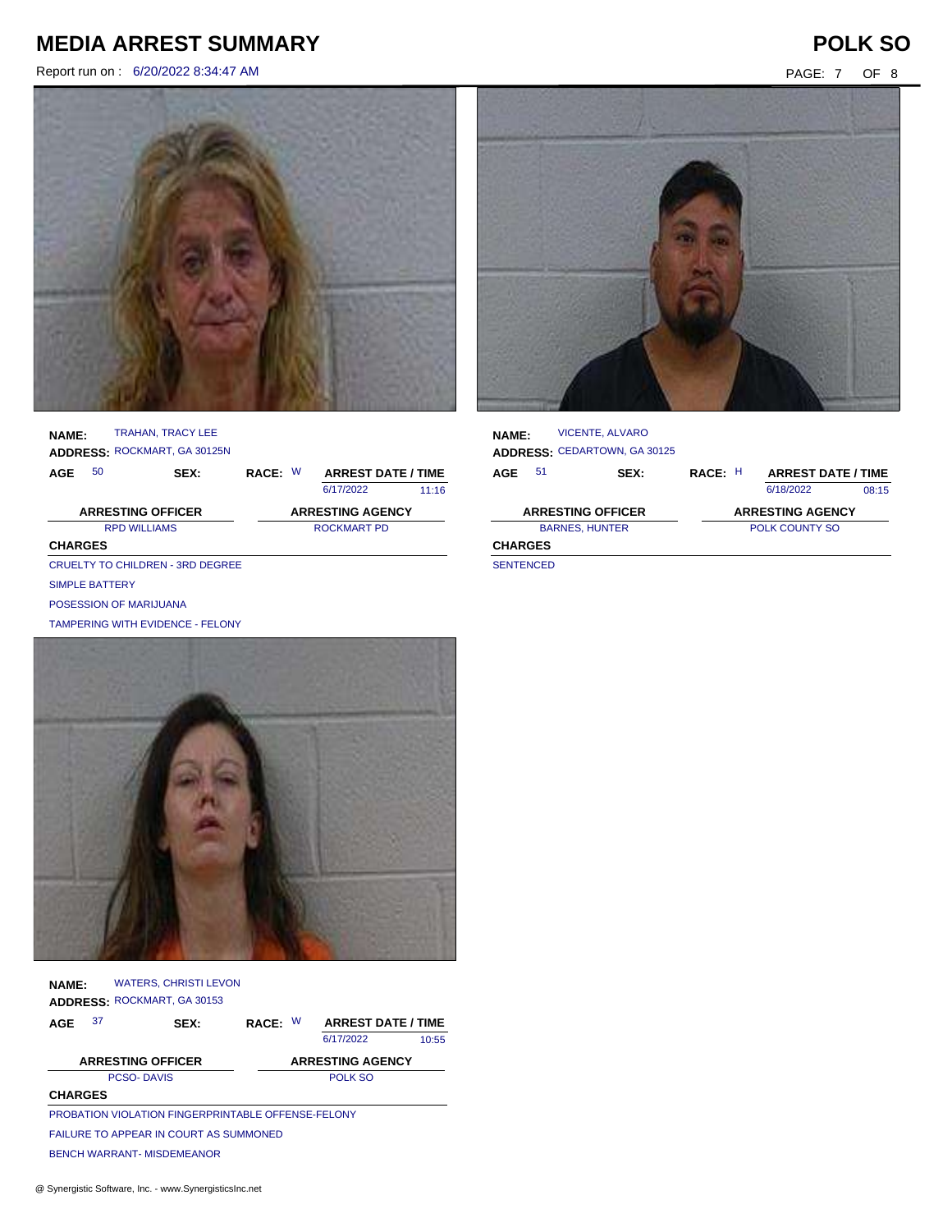Report run on : 6/20/2022 8:34:47 AM PAGE: 7 OF 8





### **NAME:** TRAHAN, TRACY LEE

**ADDRESS:** ROCKMART, GA 30125N

| AGE                      | 50                     | SEX:                             | RACE: W |             | <b>ARREST DATE / TIME</b> |       |  |
|--------------------------|------------------------|----------------------------------|---------|-------------|---------------------------|-------|--|
|                          |                        |                                  |         |             | 6/17/2022                 | 11.16 |  |
| <b>ARRESTING OFFICER</b> |                        |                                  |         |             | <b>ARRESTING AGENCY</b>   |       |  |
| <b>RPD WILLIAMS</b>      |                        |                                  |         | ROCKMART PD |                           |       |  |
| <b>CHARGES</b>           |                        |                                  |         |             |                           |       |  |
|                          |                        | CRUELTY TO CHILDREN - 3RD DEGREE |         |             |                           |       |  |
|                          | SIMPLE BATTERY         |                                  |         |             |                           |       |  |
|                          | POSESSION OF MARIJUANA |                                  |         |             |                           |       |  |



| <b>NAME:</b>          |    | <b>VICENTE, ALVARO</b><br><b>ADDRESS: CEDARTOWN, GA 30125</b> |         |                           |       |
|-----------------------|----|---------------------------------------------------------------|---------|---------------------------|-------|
| AGE                   | 51 | SEX:                                                          | RACE: H | <b>ARREST DATE / TIME</b> |       |
|                       |    |                                                               |         | 6/18/2022                 | 08:15 |
|                       |    | <b>ARRESTING OFFICER</b>                                      |         | <b>ARRESTING AGENCY</b>   |       |
| <b>BARNES, HUNTER</b> |    |                                                               |         | <b>POLK COUNTY SO</b>     |       |
| <b>CHARGES</b>        |    |                                                               |         |                           |       |
| <b>CENTENIOED</b>     |    |                                                               |         |                           |       |

SENTENCED

| TAMPERING WITH EVIDENCE - FELONY |  |  |  |  |  |  |  |  |  |
|----------------------------------|--|--|--|--|--|--|--|--|--|
|                                  |  |  |  |  |  |  |  |  |  |
|                                  |  |  |  |  |  |  |  |  |  |
|                                  |  |  |  |  |  |  |  |  |  |
|                                  |  |  |  |  |  |  |  |  |  |
|                                  |  |  |  |  |  |  |  |  |  |
|                                  |  |  |  |  |  |  |  |  |  |
|                                  |  |  |  |  |  |  |  |  |  |

| <b>NAME:</b>   | <b>WATERS, CHRISTI LEVON</b>                       |      |         |                           |       |
|----------------|----------------------------------------------------|------|---------|---------------------------|-------|
|                | <b>ADDRESS: ROCKMART, GA 30153</b>                 |      |         |                           |       |
| 37<br>AGE      |                                                    | SEX: | RACE: W | <b>ARREST DATE / TIME</b> |       |
|                |                                                    |      |         | 6/17/2022                 | 10:55 |
|                | <b>ARRESTING OFFICER</b>                           |      |         | <b>ARRESTING AGENCY</b>   |       |
|                | <b>PCSO-DAVIS</b>                                  |      |         | POLK SO                   |       |
| <b>CHARGES</b> |                                                    |      |         |                           |       |
|                | PROBATION VIOLATION FINGERPRINTABLE OFFENSE-FELONY |      |         |                           |       |
|                | <b>FAILURE TO APPEAR IN COURT AS SUMMONED</b>      |      |         |                           |       |
|                | <b>BENCH WARRANT- MISDEMEANOR</b>                  |      |         |                           |       |